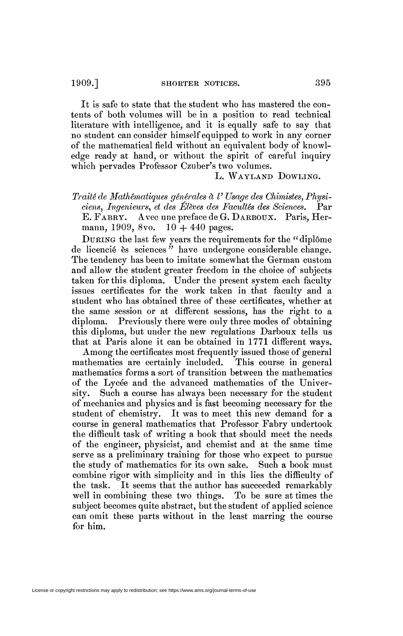It is safe to state that the student who has mastered the contents of both volumes will be in a position to read technical literature with intelligence, and it is equally safe to say that no student can consider himself equipped to work in any corner of the mathematical field without an equivalent body of knowledge ready at hand, or without the spirit of careful inquiry which pervades Professor Czuber's two volumes.

## L. WAYLAND DOWLING.

*Traité de Mathématiques générales à V Usage des Chimistes, Physiciens, Ingenieurs, et des Élèves des Facultés des Sciences.* Par E. FABRY. Avec une preface de G. DARBOUX. Paris, Hermann, 1909, 8vo.  $10 + 440$  pages.

DURING the last few years the requirements for the " diplôme de licencié es sciences *"* have undergone considerable change. The tendency has been to imitate somewhat the German custom and allow the student greater freedom in the choice of subjects taken for this diploma. Under the present system each faculty issues certificates for the work taken in that faculty and a student who has obtained three of these certificates, whether at the same session or at different sessions, has the right to a diploma. Previously there were only three modes of obtaining this diploma, but under the new regulations Darboux tells us that at Paris alone it can be obtained in  $1771$  different ways.

Among the certificates most frequently issued those of general mathematics are certainly included. This course in general mathematics forms a sort of transition between the mathematics of the Lycée and the advanced mathematics of the University. Such a course has always been necessary for the student of mechanics and physics and is fast becoming necessary for the student of chemistry. It was to meet this new demand for a course in general mathematics that Professor Fabry undertook the difficult task of writing a book that should meet the needs of the engineer, physicist, and chemist and at the same time serve as a preliminary training for those who expect to pursue the study of mathematics for its own sake. Such a book must combine rigor with simplicity and in this lies the difficulty of the task. It seems that the author has succeeded remarkably well in combining these two things. To be sure at times the subject becomes quite abstract, but the student of applied science can omit these parts without in the least marring the course for him.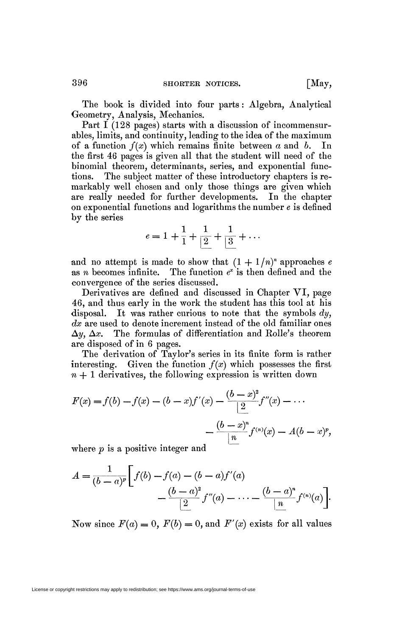The book is divided into four parts : Algebra, Analytical Geometry, Analysis, Mechanics.

Part I (128 pages) starts with a discussion of incommensurables, limits, and continuity, leading to the idea of the maximum of a function *f(x)* which remains finite between *a* and *b.* In the first 46 pages is given all that the student will need of the binomial theorem, determinants, series, and exponential functions. The subject matter of these introductory chapters is remarkably well chosen and only those things are given which are really needed for further developments. In the chapter on exponential functions and logarithms the number *e* is defined by the series

$$
e = 1 + \frac{1}{1} + \frac{1}{2} + \frac{1}{3} + \dots
$$

and no attempt is made to show that  $(1 + 1/n)^n$  approaches e as *n* becomes infinite. *x* is then defined and the convergence of the series discussed.

Derivatives are defined and discussed in Chapter VI, page 46, and thus early in the work the student has this tool at his disposal. It was rather curious to note that the symbols *dy, dx* are used to denote increment instead of the old familiar ones  $\Delta y$ ,  $\Delta x$ . The formulas of differentiation and Rolle's theorem are disposed of in 6 pages.

The derivation of Taylor's series in its finite form is rather interesting. Given the function  $f(x)$  which possesses the first  $n + 1$  derivatives, the following expression is written down

$$
F(x) = f(b) - f(x) - (b - x)f'(x) - \frac{(b - x)^2}{2}f''(x) - \dots
$$

$$
- \frac{(b - x)^n}{n}f^{(n)}(x) - A(b - x)^p,
$$

where *p* is a positive integer and

$$
A = \frac{1}{(b-a)^p} \left[ f(b) - f(a) - (b-a)f'(a) - \frac{(b-a)^2}{2} f''(a) - \dots - \frac{(b-a)^n}{n} f^{(n)}(a) \right].
$$

Now since  $F(a) = 0$ ,  $F(b) = 0$ , and  $F'(x)$  exists for all values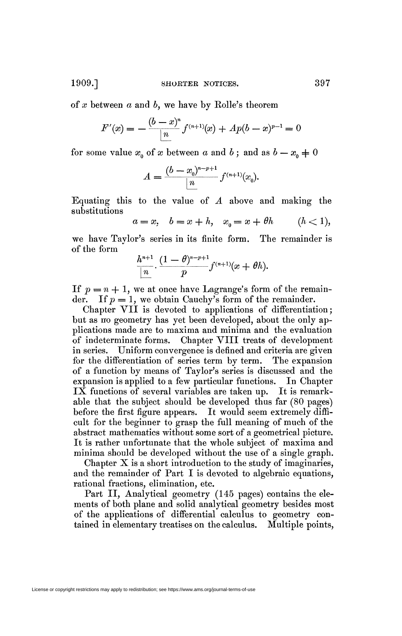1909.] **SHORTER NOTICES.** 397

of *x* between a and *b,* we have by Rolle's theorem

$$
F'(x) = -\frac{(b-x)^n}{n} f^{(n+1)}(x) + Ap(b-x)^{p-1} = 0
$$

for some value  $x_0$  of x between a and b; and as  $b - x_0 \neq 0$ 

$$
A = \frac{(b - x_0)^{n-p+1}}{n} f^{(n+1)}(x_0).
$$

Equating this to the value of *A* above and making the substitutions

$$
a = x, \quad b = x + h, \quad x_0 = x + \theta h \qquad (h < 1),
$$

we have Taylor's series in its finite form. The remainder is of the form

$$
\frac{h^{n+1}}{n}\cdot\frac{(1-\theta)^{n-p+1}}{p}f^{(n+1)}(x+\theta h).
$$

If  $p = n + 1$ , we at once have Lagrange's form of the remainder. If  $p = 1$ , we obtain Cauchy's form of the remainder.

Chapter VII is devoted to applications of differentiation; but as no geometry has yet been developed, about the only applications made are to maxima and minima and the evaluation of indeterminate forms. Chapter VIII treats of development in series. Uniform convergence is defined and criteria are given for the differentiation of series term by term. The expansion of a function by means of Taylor's series is discussed and the expansion is applied to a few particular functions. In Chapter IX functions of several variables are taken up. It is remarkable that the subject should be developed thus far (80 pages) before the first figure appears. It would seem extremely difficult for the beginner to grasp the full meaning of much of the abstract mathematics without some sort of a geometrical picture. It is rather unfortunate that the whole subject of maxima and minima should be developed without the use of a single graph.

Chapter  $X$  is a short introduction to the study of imaginaries, and the remainder of Part I is devoted to algebraic equations, rational fractions, elimination, etc.

Part II, Analytical geometry (145 pages) contains the elements of both plane and solid analytical geometry besides most of the applications of differential calculus to geometry contained in elementary treatises on the calculus. Multiple points,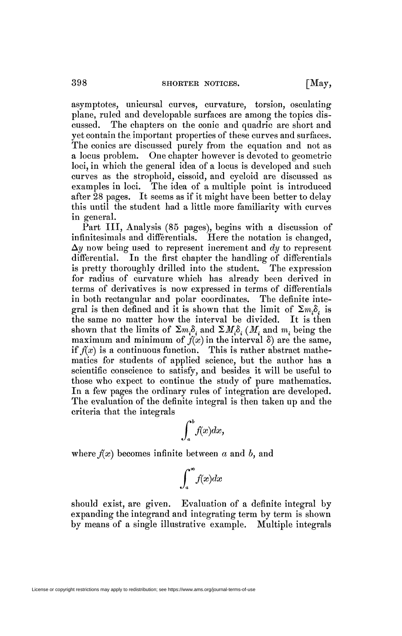asymptotes, unicursal curves, curvature, torsion, osculating plane, ruled and developable surfaces are among the topics discussed. The chapters on the conic and quadric are short and yet contain the. important properties of these curves and surfaces. The conics are discussed purely from the equation and not as a locus problem. One chapter however is devoted to geometric loci, in which the general idea of a locus is developed and such curves as the strophoid, cissoid, and cycloid are discussed as examples in loci. The idea of a multiple point is introduced after 28 pages. It seems as if it might have been better to delay this until the student had a little more familiarity with curves in general.

Part III, Analysis (85 pages), begins with a discussion of infinitesimals and differentials. Here the notation is changed, *Ay* now being used to represent increment and *dy* to represent differential. In the first chapter the handling of differentials is pretty thoroughly drilled into the student. The expression for radius of curvature which has already been derived in terms of derivatives is now expressed in terms of differentials in both rectangular and polar coordinates. The definite integral is then defined and it is shown that the limit of  $\sum m_i \delta_i$  is the same no matter how the interval be divided. It is then shown that the limits of  $\Sigma_{m,\delta}$  and  $\Sigma_{M,\delta}$ . (*M*, and m. being the maximum and minimum of  $f(x)$  in the interval  $\delta$ ) are the same, if  $f(x)$  is a continuous function. This is rather abstract mathematics for students of applied science, but the author has a scientific conscience to satisfy, and besides it will be useful to those who expect to continue the study of pure mathematics. In a few pages the ordinary rules of integration are developed. The evaluation of the definite integral is then taken up and the criteria that the integrals

$$
\int_a^b f(x)dx,
$$

where  $f(x)$  becomes infinite between  $a$  and  $b$ , and

$$
\int_{a}^{\infty} f(x)dx
$$

should exist, are given. Evaluation of a definite integral by expanding the integrand and integrating term by term is shown by means of a single illustrative example. Multiple integrals